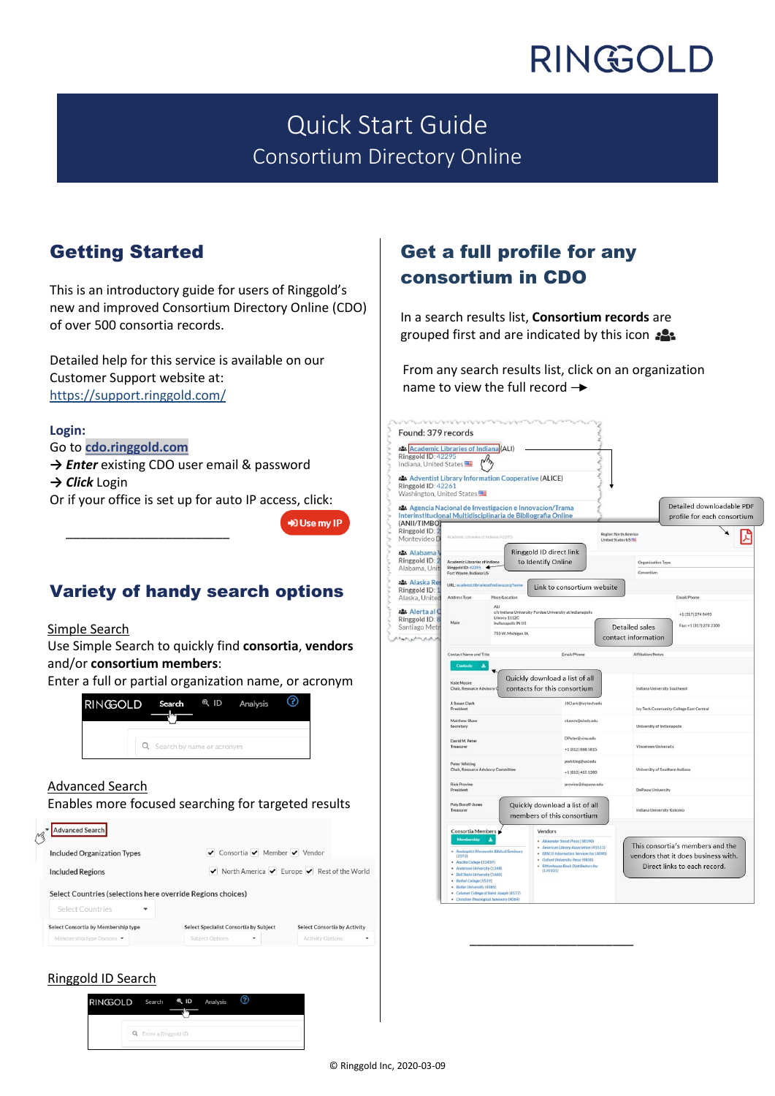# RINGOLD

## Quick Start Guide Consortium Directory Online

## Getting Started

This is an introductory guide for users of Ringgold's new and improved Consortium Directory Online (CDO) of over 500 consortia records.

Detailed help for this service is available on our Customer Support website at: [https://support.ringgold.com/](https://support.ringgold.com/category/cdo/)

#### **Login:**

Go to **[cdo.ringgold.com](https://cdo.ringgold.com/)**

 $\frac{1}{\sqrt{2}}$  ,  $\frac{1}{\sqrt{2}}$  ,  $\frac{1}{\sqrt{2}}$  ,  $\frac{1}{\sqrt{2}}$  ,  $\frac{1}{\sqrt{2}}$  ,  $\frac{1}{\sqrt{2}}$  ,  $\frac{1}{\sqrt{2}}$  ,  $\frac{1}{\sqrt{2}}$  ,  $\frac{1}{\sqrt{2}}$  ,  $\frac{1}{\sqrt{2}}$  ,  $\frac{1}{\sqrt{2}}$  ,  $\frac{1}{\sqrt{2}}$  ,  $\frac{1}{\sqrt{2}}$  ,  $\frac{1}{\sqrt{2}}$  ,  $\frac{1}{\sqrt{2}}$ 

- **→** *Enter* existing CDO user email & password
- **→** *Click* Login

Or if your office is set up for auto IP access, click:



### Variety of handy search options

### Simple Search

Use Simple Search to quickly find **consortia**, **vendors** and/or **consortium members**:

Enter a full or partial organization name, or acronym



### Advanced Search

Enables more focused searching for targeted results



### Get a full profile for any consortium in CDO

In a search results list, **Consortium records** [are](https://support.ringgold.com/wp-content/uploads/2020/02/CDO-consortia-icon.png)  grouped first and are indicated by this icon

From any search results list, click on an organization name to view the full record  $\rightarrow$ 



\_\_\_\_\_\_\_\_\_\_\_\_\_\_\_\_\_\_\_\_\_\_\_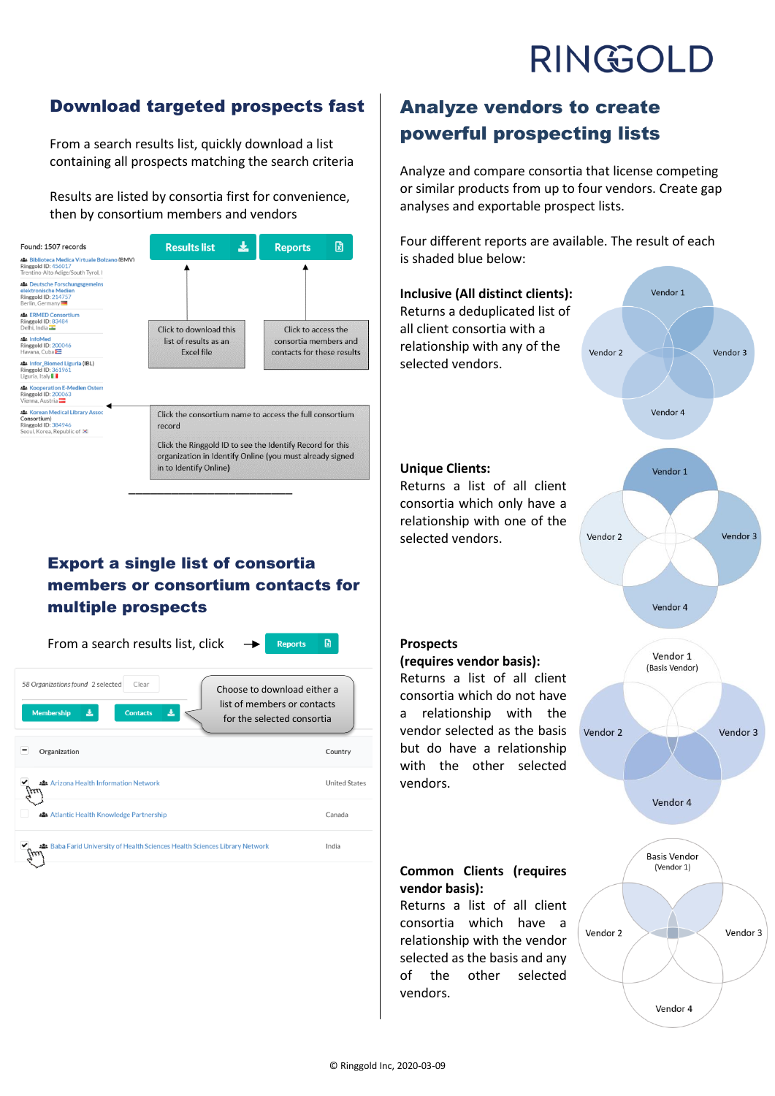# RINGOLD

### Download targeted prospects fast

From a search results list, quickly download a list containing all prospects matching the search criteria

Results are listed by consortia first for convenience, then by consortium members and vendors

| Found: 1507 records                                                                                             | 소<br><b>Results list</b>                                                                                                                        | 図<br><b>Reports</b>                                                        |
|-----------------------------------------------------------------------------------------------------------------|-------------------------------------------------------------------------------------------------------------------------------------------------|----------------------------------------------------------------------------|
| <b>2: Biblioteca Medica Virtuale Bolzano (BMV)</b><br>Ringgold ID: 456017<br>Trentino-Alto Adige/South Tyrol, I |                                                                                                                                                 |                                                                            |
| <b>224</b> Deutsche Forschungsgemeins<br>elektronische Medien<br>Ringgold ID: 214757<br>Berlin, Germany         |                                                                                                                                                 |                                                                            |
| <b>21 ERMED Consortium</b><br>Ringgold ID: 83484<br>Delhi, India                                                | Click to download this                                                                                                                          | Click to access the<br>consortia members and<br>contacts for these results |
| :& InfoMed<br><b>Ringgold ID: 200046</b><br>Havana, Cuba                                                        | list of results as an<br><b>Excel file</b>                                                                                                      |                                                                            |
| <b>24 Infor Biomed Liguria (IBL)</b><br>Ringgold ID: 361961<br>Liguria, Italy                                   |                                                                                                                                                 |                                                                            |
| Kooperation E-Medien Ostern<br>Ringgold ID: 200063<br>Vienna, Austria                                           |                                                                                                                                                 |                                                                            |
| <b>A: Korean Medical Library Assoc</b><br>Consortium)<br>Ringgold ID: 384946<br>Seoul, Korea, Republic of [*]   | Click the consortium name to access the full consortium<br>record                                                                               |                                                                            |
|                                                                                                                 | Click the Ringgold ID to see the Identify Record for this<br>organization in Identify Online (you must already signed<br>in to Identify Online) |                                                                            |

### Export a single list of consortia members or consortium contacts for multiple prospects

\_\_\_\_\_\_\_\_\_\_\_\_\_\_\_\_\_\_\_\_\_\_\_

From a search results list, click



| Clear<br>58 Organizations found 2 selected<br>Choose to download either a<br>list of members or contacts<br>圡<br>圡<br><b>Membership</b><br><b>Contacts</b><br>for the selected consortia |                      |
|------------------------------------------------------------------------------------------------------------------------------------------------------------------------------------------|----------------------|
| Organization                                                                                                                                                                             | Country              |
| Arizona Health Information Network                                                                                                                                                       | <b>United States</b> |
| Atlantic Health Knowledge Partnership                                                                                                                                                    | Canada               |
| Baba Farid University of Health Sciences Health Sciences Library Network                                                                                                                 | India                |
|                                                                                                                                                                                          |                      |

## Analyze vendors to create powerful prospecting lists

Analyze and compare consortia that license competing or similar products from up to four vendors. Create gap analyses and exportable prospect lists.

Four different reports are available. The result of each is shaded blue below: